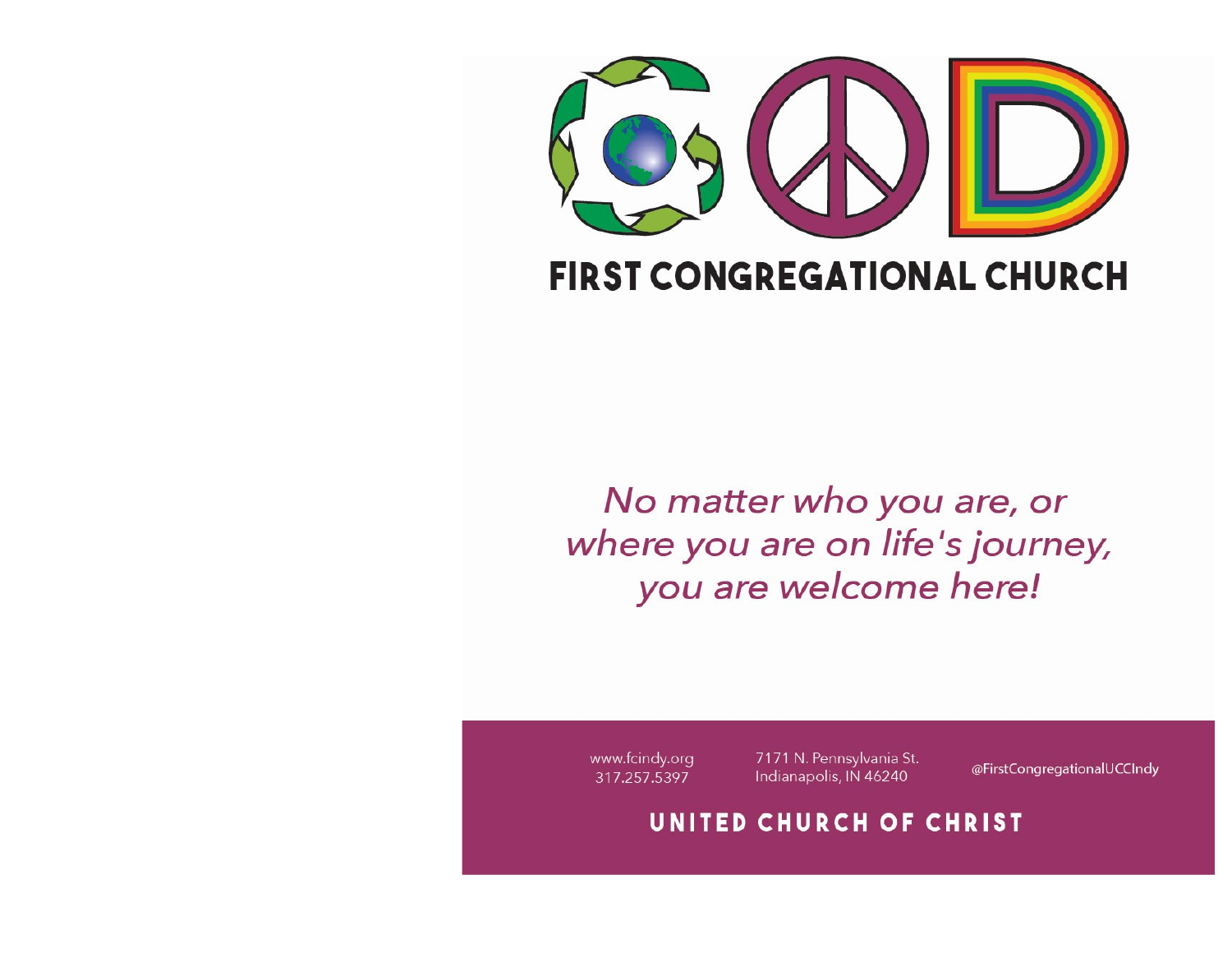

# **FIRST CONGREGATIONAL CHURCH**

# No matter who you are, or where you are on life's journey, you are welcome here!

www.fcindy.org 317.257.5397

7171 N. Pennsylvania St. Indianapolis, IN 46240

@FirstCongregationalUCCIndy

**UNITED CHURCH OF CHRIST**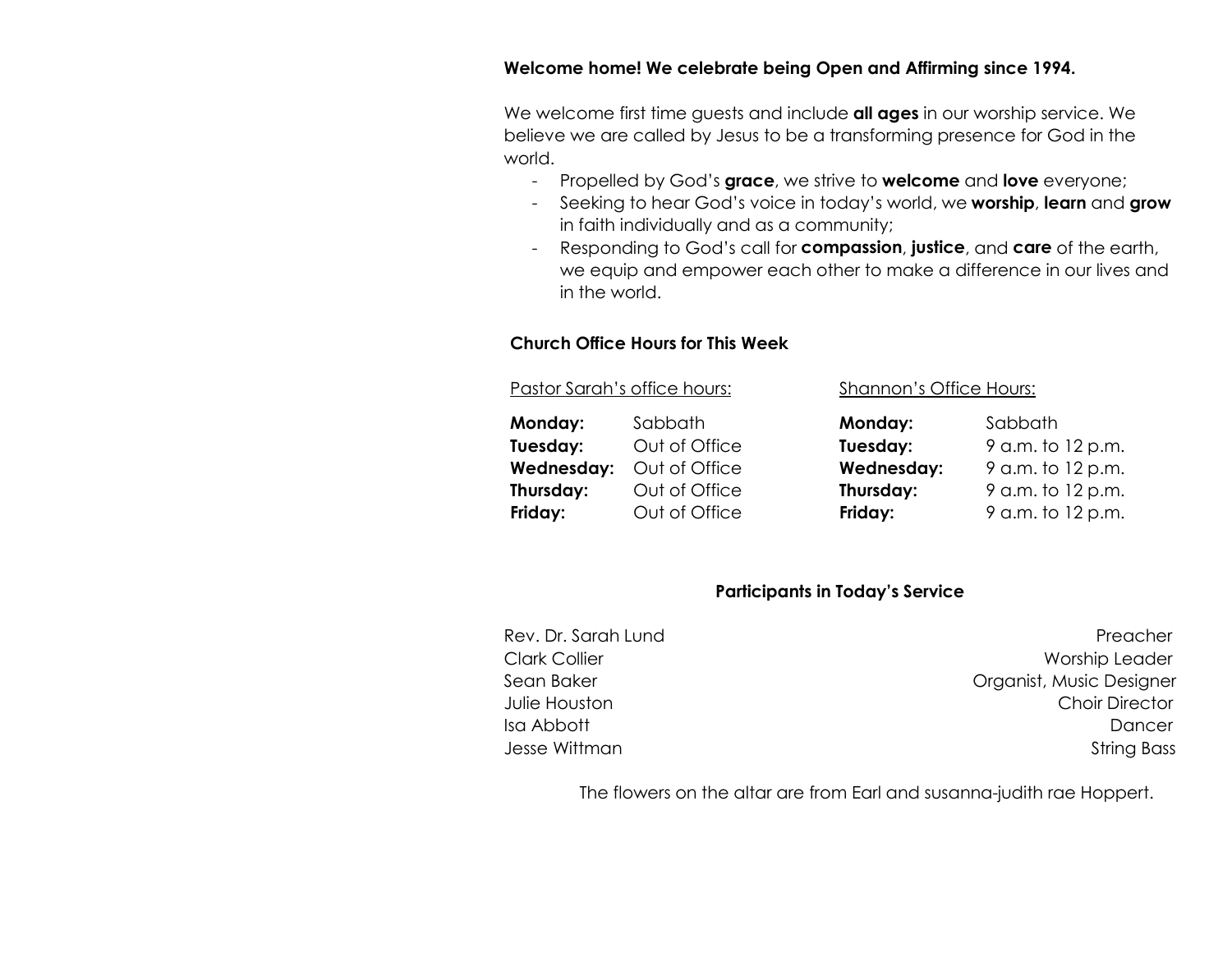#### Welcome home! We celebrate being Open and Affirming since 1994.

We welcome first time quests and include **all ages** in our worship service. We believe we are called by Jesus to be a transforming presence for God in the world.

- Propelled by God's grace, we strive to **welcome** and **love** everyone;
- Seeking to hear God's voice in today's world, we **worship, learn** and grow in faith individually and as a community;
- Responding to God's call for **compassion**, justice, and care of the earth, we equip and empower each other to make a difference in our lives and in the world.

#### Church Office Hours for This Week

Pastor Sarah's office hours: Shannon's Office Hours:

Monday: Tuesday: Wednesday: Out of Office Thursday: Friday: Sabbath Out of Office Out of Office Out of Office

| Monday:           | Sabbath           |
|-------------------|-------------------|
| Tuesday:          | 9 a.m. to 12 p.m. |
| <b>Wednesday:</b> | 9 a.m. to 12 p.m. |
| Thursday:         | 9 a.m. to 12 p.m. |
| Friday:           | 9 a.m. to 12 p.m. |

#### Participants in Today's Service

Rev. Dr. Sarah Lund Preacher Clark Collier Worship Leader Sean Baker Organist, Music Designer Julie Houston Choir Director Isa Abbott Dancer Jesse Wittman String Bass

The flowers on the altar are from Earl and susanna-judith rae Hoppert.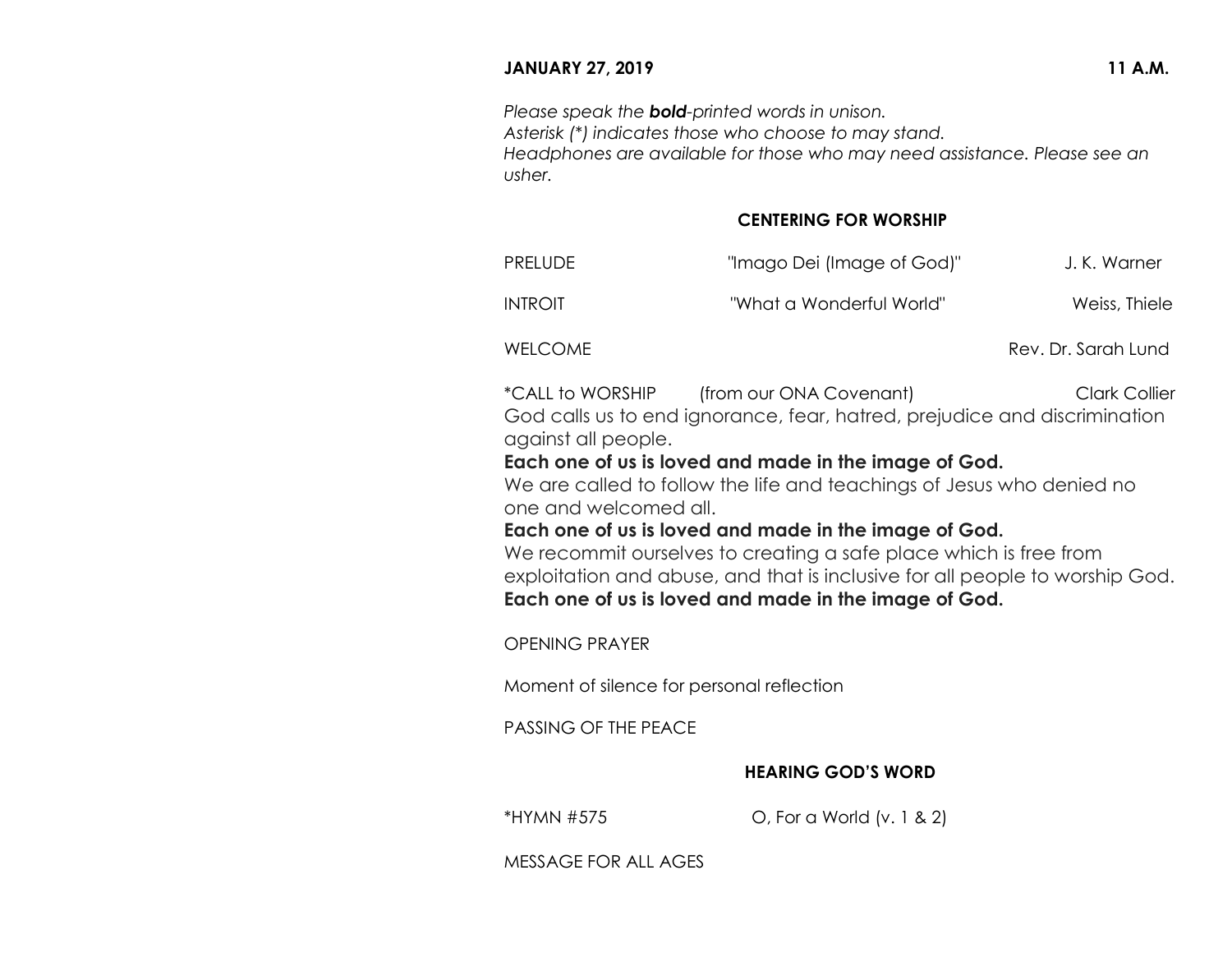Please speak the **bold**-printed words in unison. Asterisk (\*) indicates those who choose to may stand. Headphones are available for those who may need assistance. Please see an usher.

## CENTERING FOR WORSHIP

| PRELUDE | "Imago Dei (Image of God)" | J. K. Warner  |
|---------|----------------------------|---------------|
| INTROIT | "What a Wonderful World"   | Weiss, Thiele |
|         |                            |               |

WELCOME Rev. Dr. Sarah Lund

\*CALL to WORSHIP (from our ONA Covenant) Clark Collier God calls us to end ignorance, fear, hatred, prejudice and discrimination against all people.

## Each one of us is loved and made in the image of God.

We are called to follow the life and teachings of Jesus who denied no one and welcomed all.

## Each one of us is loved and made in the image of God.

We recommit ourselves to creating a safe place which is free from exploitation and abuse, and that is inclusive for all people to worship God. Each one of us is loved and made in the image of God.

OPENING PRAYER

Moment of silence for personal reflection

PASSING OF THE PEACE

## HEARING GOD'S WORD

\*HYMN #575 O, For a World (v. 1 & 2)

MESSAGE FOR ALL AGES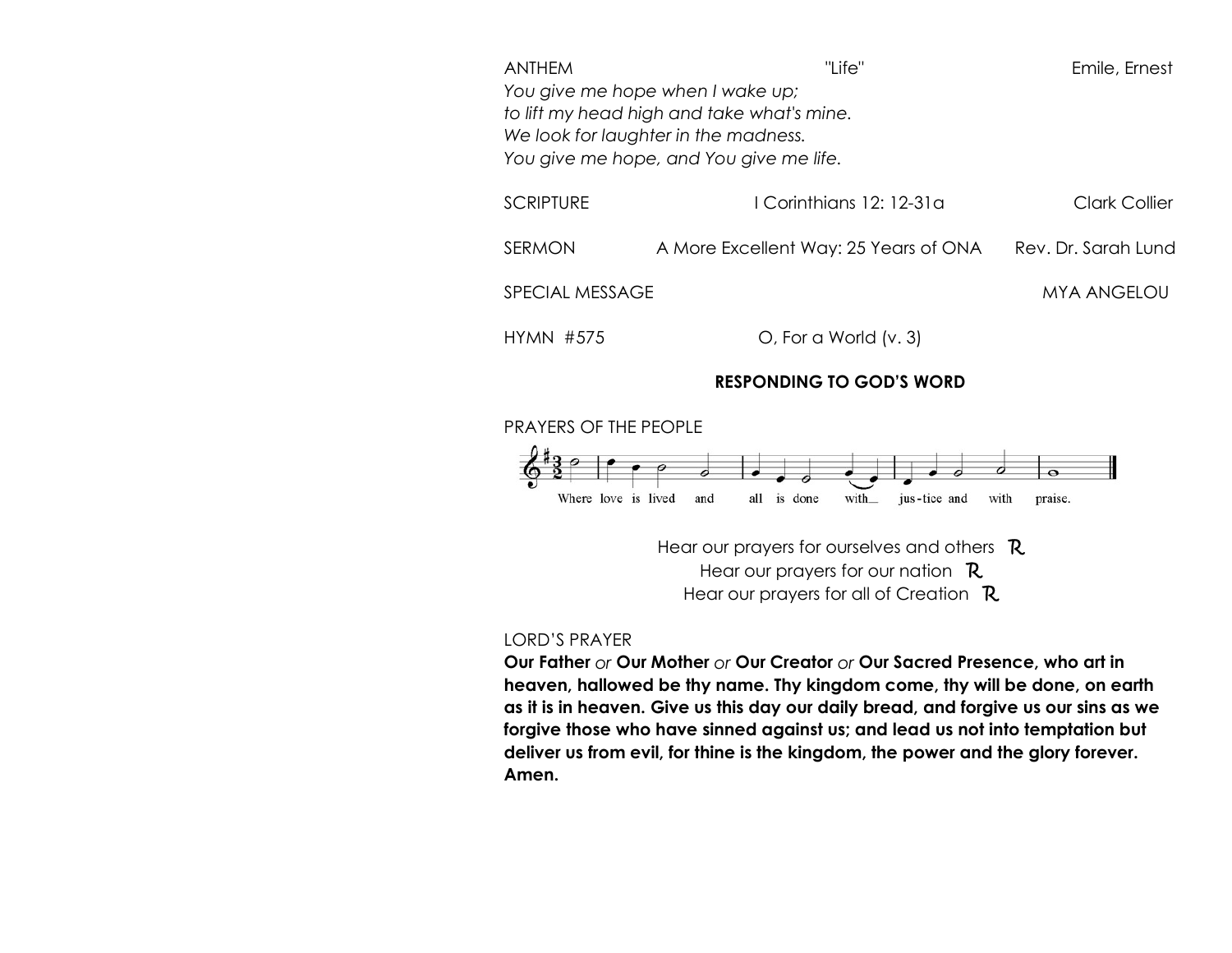ANTHEM "Life" Emile, Ernest You give me hope when I wake up; to lift my head high and take what's mine. We look for laughter in the madness. You give me hope, and You give me life. SCRIPTURE **I Corinthians 12: 12-31a** Clark Collier SERMON A More Excellent Way: 25 Years of ONA Rev. Dr. Sarah Lund SPECIAL MESSAGE MESSAGE MYA ANGELOU

HYMN #575 O, For a World (v. 3)

## RESPONDING TO GOD'S WORD



Hear our prayers for ourselves and others  $\mathcal{R}$ Hear our prayers for our nation  $\mathcal{R}$ Hear our prayers for all of Creation  $\mathcal{R}$ 

## LORD'S PRAYER

Our Father or Our Mother or Our Creator or Our Sacred Presence, who art in heaven, hallowed be thy name. Thy kingdom come, thy will be done, on earth as it is in heaven. Give us this day our daily bread, and forgive us our sins as we forgive those who have sinned against us; and lead us not into temptation but deliver us from evil, for thine is the kingdom, the power and the glory forever. Amen.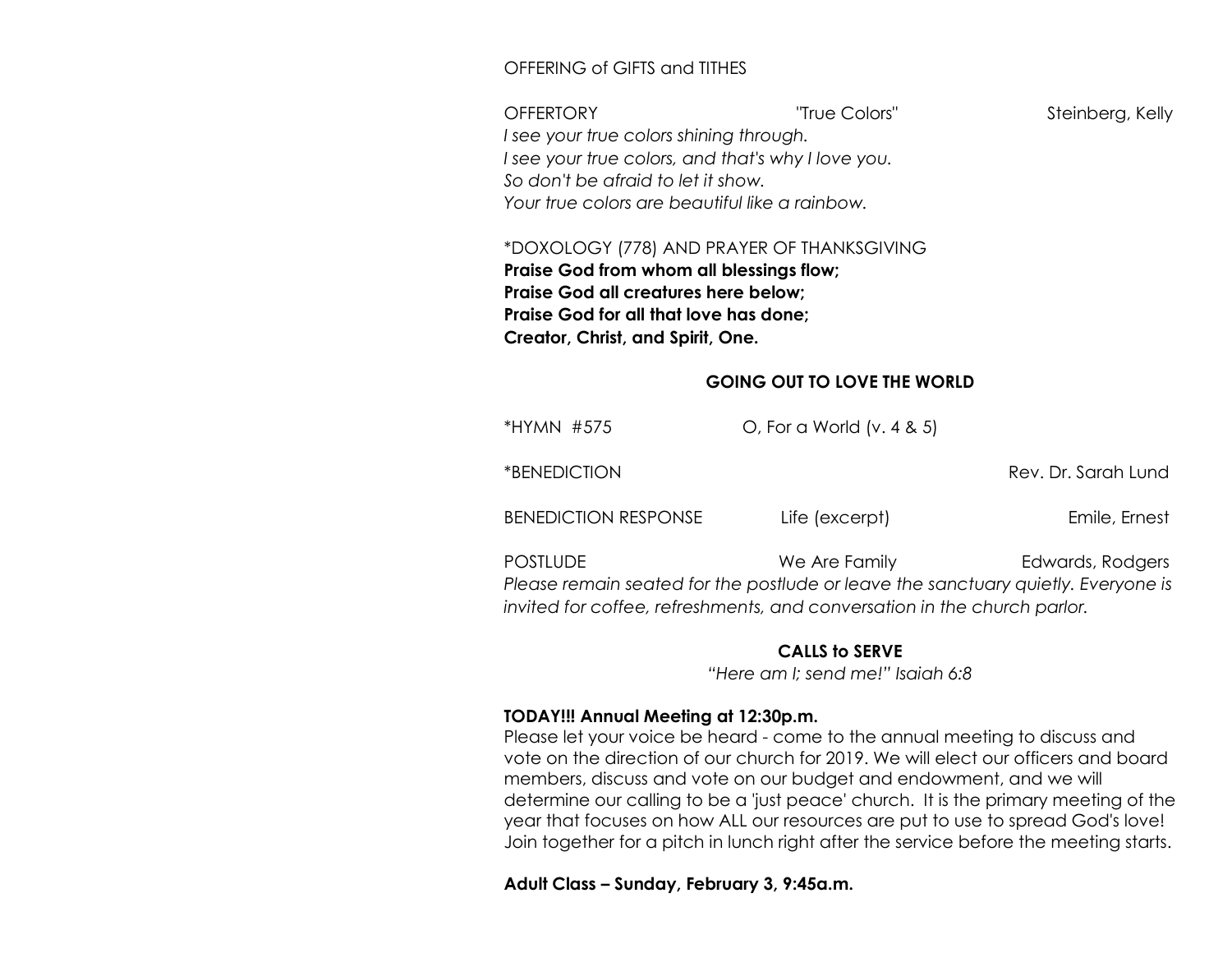#### OFFERING of GIFTS and TITHES

OFFERTORY "True Colors" Steinberg, Kelly I see your true colors shining through. I see your true colors, and that's why I love you. So don't be afraid to let it show. Your true colors are beautiful like a rainbow.

\*DOXOLOGY (778) AND PRAYER OF THANKSGIVING Praise God from whom all blessings flow; Praise God all creatures here below; Praise God for all that love has done; Creator, Christ, and Spirit, One.

## GOING OUT TO LOVE THE WORLD

 $*$ HYMN  $#575$  O, For a World (v. 4 & 5)

\*BENEDICTION Rev. Dr. Sarah Lund

BENEDICTION RESPONSE Life (excerpt) Emile, Ernest

POSTLUDE **Example 20 We Are Family Edwards, Rodgers** Please remain seated for the postlude or leave the sanctuary quietly. Everyone is invited for coffee, refreshments, and conversation in the church parlor.

## CALLS to SERVE

"Here am I; send me!" Isaiah 6:8

## TODAY!!! Annual Meeting at 12:30p.m.

Please let your voice be heard - come to the annual meeting to discuss and vote on the direction of our church for 2019. We will elect our officers and board members, discuss and vote on our budget and endowment, and we will determine our calling to be a 'just peace' church. It is the primary meeting of the year that focuses on how ALL our resources are put to use to spread God's love! Join together for a pitch in lunch right after the service before the meeting starts.

## Adult Class – Sunday, February 3, 9:45a.m.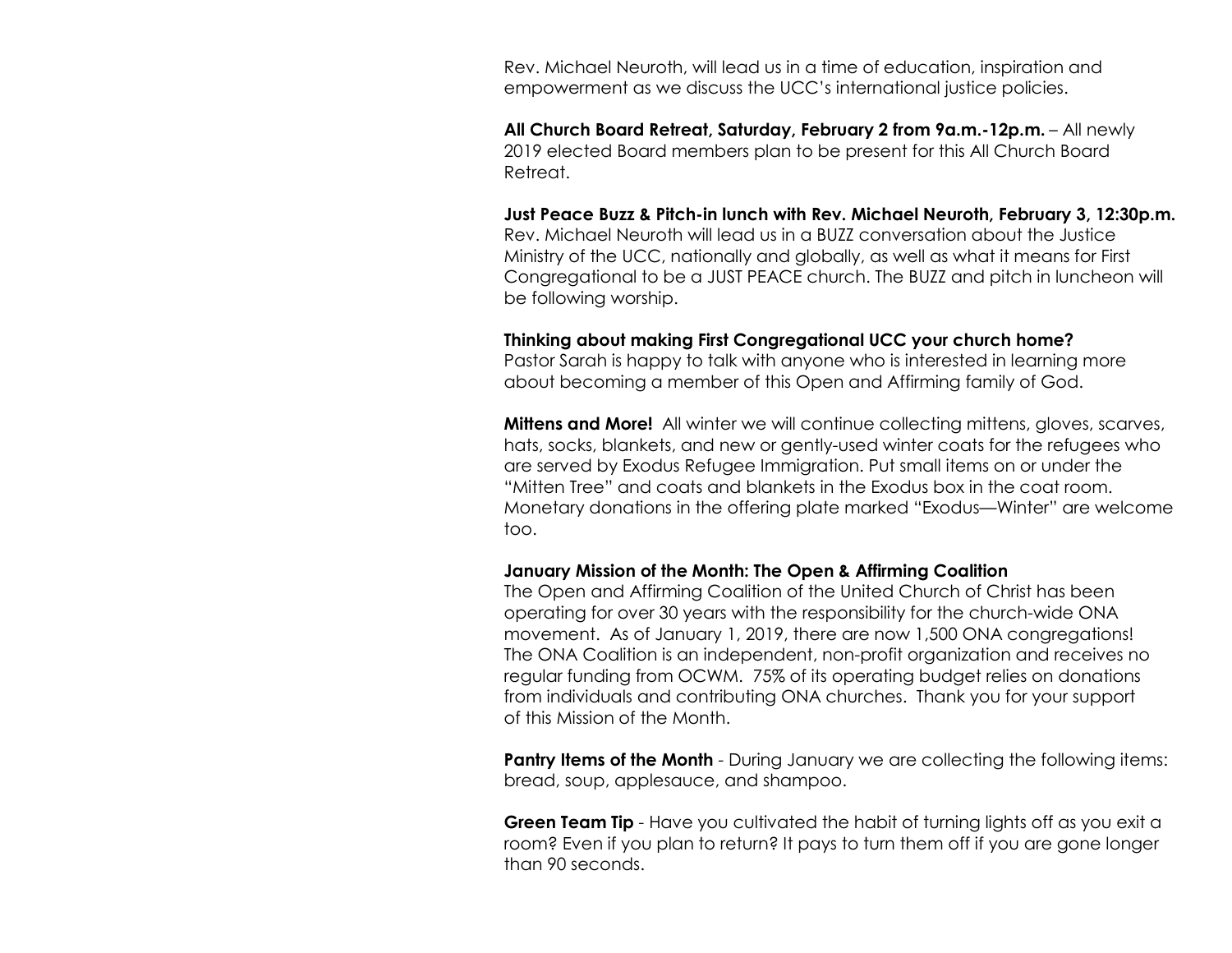Rev. Michael Neuroth, will lead us in a time of education, inspiration and empowerment as we discuss the UCC's international justice policies.

All Church Board Retreat, Saturday, February 2 from 9a.m.-12p.m. – All newly 2019 elected Board members plan to be present for this All Church Board Retreat.

#### Just Peace Buzz & Pitch-in lunch with Rev. Michael Neuroth, February 3, 12:30p.m.

Rev. Michael Neuroth will lead us in a BUZZ conversation about the Justice Ministry of the UCC, nationally and globally, as well as what it means for First Congregational to be a JUST PEACE church. The BUZZ and pitch in luncheon will be following worship.

#### Thinking about making First Congregational UCC your church home?

Pastor Sarah is happy to talk with anyone who is interested in learning more about becoming a member of this Open and Affirming family of God.

**Mittens and More!** All winter we will continue collecting mittens, gloves, scarves, hats, socks, blankets, and new or gently-used winter coats for the refugees who are served by Exodus Refugee Immigration. Put small items on or under the "Mitten Tree" and coats and blankets in the Exodus box in the coat room. Monetary donations in the offering plate marked "Exodus—Winter" are welcome too.

#### January Mission of the Month: The Open & Affirming Coalition

The Open and Affirming Coalition of the United Church of Christ has been operating for over 30 years with the responsibility for the church-wide ONA movement. As of January 1, 2019, there are now 1,500 ONA congregations! The ONA Coalition is an independent, non-profit organization and receives no regular funding from OCWM. 75% of its operating budget relies on donations from individuals and contributing ONA churches. Thank you for your support of this Mission of the Month.

**Pantry Items of the Month** - During January we are collecting the following items: bread, soup, applesauce, and shampoo.

**Green Team Tip** - Have you cultivated the habit of turning lights off as you exit a room? Even if you plan to return? It pays to turn them off if you are gone longer than 90 seconds.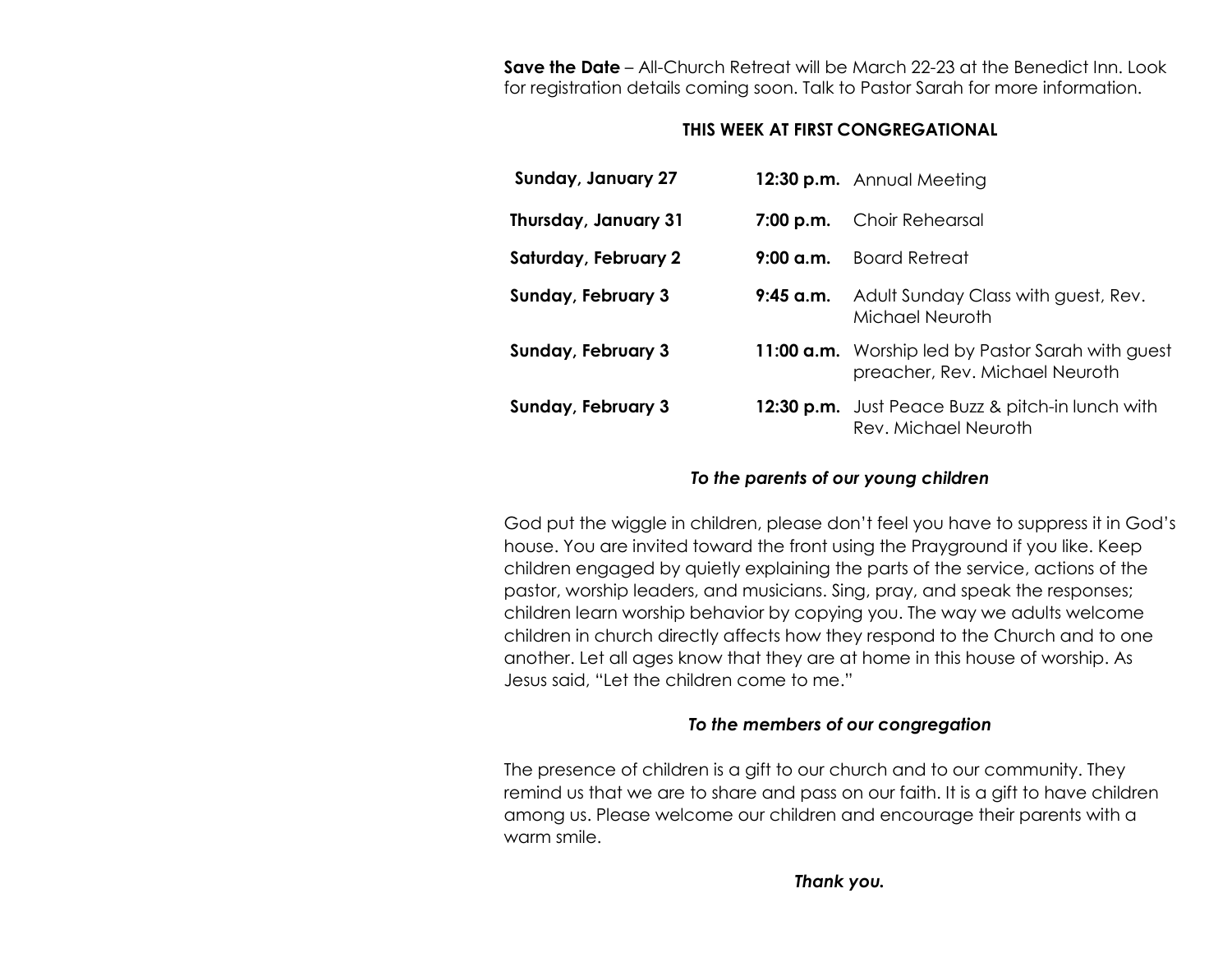Save the Date – All-Church Retreat will be March 22-23 at the Benedict Inn. Look for registration details coming soon. Talk to Pastor Sarah for more information.

# THIS WEEK AT FIRST CONGREGATIONAL

| Sunday, January 27   |             | 12:30 p.m. Annual Meeting                                                           |
|----------------------|-------------|-------------------------------------------------------------------------------------|
| Thursday, January 31 |             | 7:00 p.m. Choir Rehearsal                                                           |
| Saturday, February 2 | $9:00$ a.m. | <b>Board Retreat</b>                                                                |
| Sunday, February 3   | $9:45$ a.m. | Adult Sunday Class with guest, Rev.<br>Michael Neuroth                              |
| Sunday, February 3   |             | 11:00 a.m. Worship led by Pastor Sarah with guest<br>preacher, Rev. Michael Neuroth |
| Sunday, February 3   |             | 12:30 p.m. Just Peace Buzz & pitch-in lunch with<br>Rev. Michael Neuroth            |

## To the parents of our young children

God put the wiggle in children, please don't feel you have to suppress it in God's house. You are invited toward the front using the Prayground if you like. Keep children engaged by quietly explaining the parts of the service, actions of the pastor, worship leaders, and musicians. Sing, pray, and speak the responses; children learn worship behavior by copying you. The way we adults welcome children in church directly affects how they respond to the Church and to one another. Let all ages know that they are at home in this house of worship. As Jesus said, "Let the children come to me."

## To the members of our congregation

The presence of children is a gift to our church and to our community. They remind us that we are to share and pass on our faith. It is a gift to have children among us. Please welcome our children and encourage their parents with a warm smile.